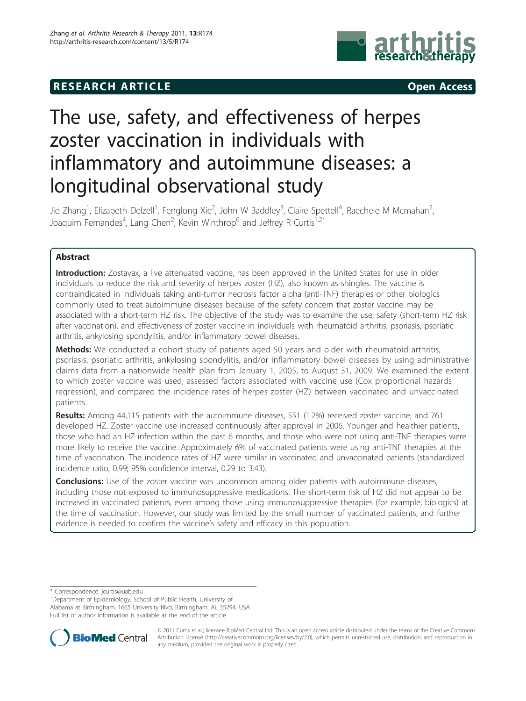# **RESEARCH ARTICLE Example 2014 12:30 The SEARCH ARTICLE**



# The use, safety, and effectiveness of herpes zoster vaccination in individuals with inflammatory and autoimmune diseases: a longitudinal observational study

Jie Zhang<sup>1</sup>, Elizabeth Delzell<sup>1</sup>, Fenglong Xie<sup>2</sup>, John W Baddley<sup>3</sup>, Claire Spettell<sup>4</sup>, Raechele M Mcmahan<sup>5</sup> , Joaquim Fernandes<sup>4</sup>, Lang Chen<sup>2</sup>, Kevin Winthrop<sup>6</sup> and Jeffrey R Curtis<sup>1,2\*</sup>

# Abstract

Introduction: Zostavax, a live attenuated vaccine, has been approved in the United States for use in older individuals to reduce the risk and severity of herpes zoster (HZ), also known as shingles. The vaccine is contraindicated in individuals taking anti-tumor necrosis factor alpha (anti-TNF) therapies or other biologics commonly used to treat autoimmune diseases because of the safety concern that zoster vaccine may be associated with a short-term HZ risk. The objective of the study was to examine the use, safety (short-term HZ risk after vaccination), and effectiveness of zoster vaccine in individuals with rheumatoid arthritis, psoriasis, psoriatic arthritis, ankylosing spondylitis, and/or inflammatory bowel diseases.

Methods: We conducted a cohort study of patients aged 50 years and older with rheumatoid arthritis, psoriasis, psoriatic arthritis, ankylosing spondylitis, and/or inflammatory bowel diseases by using administrative claims data from a nationwide health plan from January 1, 2005, to August 31, 2009. We examined the extent to which zoster vaccine was used; assessed factors associated with vaccine use (Cox proportional hazards regression); and compared the incidence rates of herpes zoster (HZ) between vaccinated and unvaccinated patients.

Results: Among 44,115 patients with the autoimmune diseases, 551 (1.2%) received zoster vaccine, and 761 developed HZ. Zoster vaccine use increased continuously after approval in 2006. Younger and healthier patients, those who had an HZ infection within the past 6 months, and those who were not using anti-TNF therapies were more likely to receive the vaccine. Approximately 6% of vaccinated patients were using anti-TNF therapies at the time of vaccination. The incidence rates of HZ were similar in vaccinated and unvaccinated patients (standardized incidence ratio, 0.99; 95% confidence interval, 0.29 to 3.43).

**Conclusions:** Use of the zoster vaccine was uncommon among older patients with autoimmune diseases, including those not exposed to immunosuppressive medications. The short-term risk of HZ did not appear to be increased in vaccinated patients, even among those using immunosuppressive therapies (for example, biologics) at the time of vaccination. However, our study was limited by the small number of vaccinated patients, and further evidence is needed to confirm the vaccine's safety and efficacy in this population.

\* Correspondence: [jcurtis@uab.edu](mailto:jcurtis@uab.edu)

<sup>1</sup>Department of Epidemiology, School of Public Health, University of Alabama at Birmingham, 1665 University Blvd, Birmingham, AL 35294, USA Full list of author information is available at the end of the article



© 2011 Curtis et al.; licensee BioMed Central Ltd. This is an open access article distributed under the terms of the Creative Commons Attribution License [\(http://creativecommons.org/licenses/by/2.0](http://creativecommons.org/licenses/by/2.0)), which permits unrestricted use, distribution, and reproduction in any medium, provided the original work is properly cited.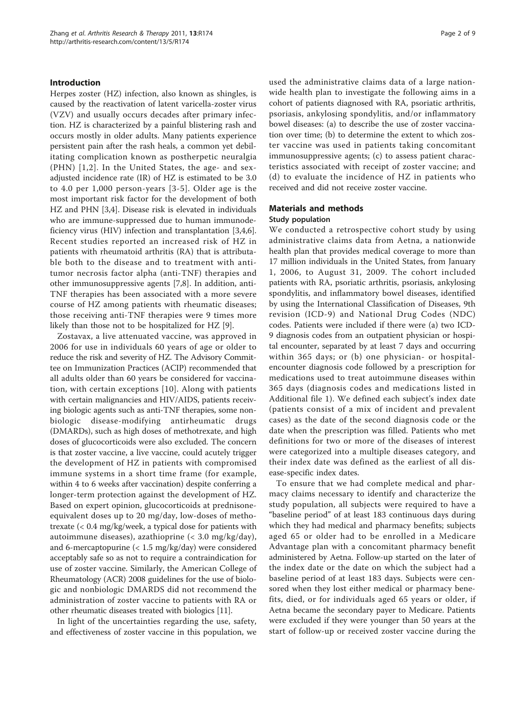## Introduction

Herpes zoster (HZ) infection, also known as shingles, is caused by the reactivation of latent varicella-zoster virus (VZV) and usually occurs decades after primary infection. HZ is characterized by a painful blistering rash and occurs mostly in older adults. Many patients experience persistent pain after the rash heals, a common yet debilitating complication known as postherpetic neuralgia (PHN) [[1](#page-7-0),[2\]](#page-7-0). In the United States, the age- and sexadjusted incidence rate (IR) of HZ is estimated to be 3.0 to 4.0 per 1,000 person-years [[3](#page-7-0)-[5](#page-7-0)]. Older age is the most important risk factor for the development of both HZ and PHN [\[3,4](#page-7-0)]. Disease risk is elevated in individuals who are immune-suppressed due to human immunodeficiency virus (HIV) infection and transplantation [\[3,4,6](#page-7-0)]. Recent studies reported an increased risk of HZ in patients with rheumatoid arthritis (RA) that is attributable both to the disease and to treatment with antitumor necrosis factor alpha (anti-TNF) therapies and other immunosuppressive agents [\[7,8](#page-7-0)]. In addition, anti-TNF therapies has been associated with a more severe course of HZ among patients with rheumatic diseases; those receiving anti-TNF therapies were 9 times more likely than those not to be hospitalized for HZ [\[9\]](#page-7-0).

Zostavax, a live attenuated vaccine, was approved in 2006 for use in individuals 60 years of age or older to reduce the risk and severity of HZ. The Advisory Committee on Immunization Practices (ACIP) recommended that all adults older than 60 years be considered for vaccination, with certain exceptions [\[10\]](#page-7-0). Along with patients with certain malignancies and HIV/AIDS, patients receiving biologic agents such as anti-TNF therapies, some nonbiologic disease-modifying antirheumatic drugs (DMARDs), such as high doses of methotrexate, and high doses of glucocorticoids were also excluded. The concern is that zoster vaccine, a live vaccine, could acutely trigger the development of HZ in patients with compromised immune systems in a short time frame (for example, within 4 to 6 weeks after vaccination) despite conferring a longer-term protection against the development of HZ. Based on expert opinion, glucocorticoids at prednisoneequivalent doses up to 20 mg/day, low-doses of methotrexate (< 0.4 mg/kg/week, a typical dose for patients with autoimmune diseases), azathioprine (< 3.0 mg/kg/day), and 6-mercaptopurine (< 1.5 mg/kg/day) were considered acceptably safe so as not to require a contraindication for use of zoster vaccine. Similarly, the American College of Rheumatology (ACR) 2008 guidelines for the use of biologic and nonbiologic DMARDS did not recommend the administration of zoster vaccine to patients with RA or other rheumatic diseases treated with biologics [[11](#page-7-0)].

In light of the uncertainties regarding the use, safety, and effectiveness of zoster vaccine in this population, we

used the administrative claims data of a large nationwide health plan to investigate the following aims in a cohort of patients diagnosed with RA, psoriatic arthritis, psoriasis, ankylosing spondylitis, and/or inflammatory bowel diseases: (a) to describe the use of zoster vaccination over time; (b) to determine the extent to which zoster vaccine was used in patients taking concomitant immunosuppressive agents; (c) to assess patient characteristics associated with receipt of zoster vaccine; and (d) to evaluate the incidence of HZ in patients who received and did not receive zoster vaccine.

# Materials and methods

#### Study population

We conducted a retrospective cohort study by using administrative claims data from Aetna, a nationwide health plan that provides medical coverage to more than 17 million individuals in the United States, from January 1, 2006, to August 31, 2009. The cohort included patients with RA, psoriatic arthritis, psoriasis, ankylosing spondylitis, and inflammatory bowel diseases, identified by using the International Classification of Diseases, 9th revision (ICD-9) and National Drug Codes (NDC) codes. Patients were included if there were (a) two ICD-9 diagnosis codes from an outpatient physician or hospital encounter, separated by at least 7 days and occurring within 365 days; or (b) one physician- or hospitalencounter diagnosis code followed by a prescription for medications used to treat autoimmune diseases within 365 days (diagnosis codes and medications listed in Additional file [1](#page-7-0)). We defined each subject's index date (patients consist of a mix of incident and prevalent cases) as the date of the second diagnosis code or the date when the prescription was filled. Patients who met definitions for two or more of the diseases of interest were categorized into a multiple diseases category, and their index date was defined as the earliest of all disease-specific index dates.

To ensure that we had complete medical and pharmacy claims necessary to identify and characterize the study population, all subjects were required to have a "baseline period" of at least 183 continuous days during which they had medical and pharmacy benefits; subjects aged 65 or older had to be enrolled in a Medicare Advantage plan with a concomitant pharmacy benefit administered by Aetna. Follow-up started on the later of the index date or the date on which the subject had a baseline period of at least 183 days. Subjects were censored when they lost either medical or pharmacy benefits, died, or for individuals aged 65 years or older, if Aetna became the secondary payer to Medicare. Patients were excluded if they were younger than 50 years at the start of follow-up or received zoster vaccine during the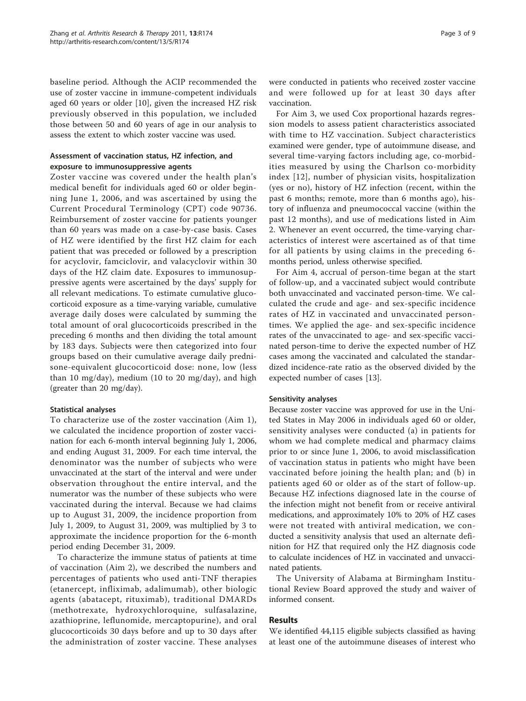baseline period. Although the ACIP recommended the use of zoster vaccine in immune-competent individuals aged 60 years or older [\[10](#page-7-0)], given the increased HZ risk previously observed in this population, we included those between 50 and 60 years of age in our analysis to assess the extent to which zoster vaccine was used.

# Assessment of vaccination status, HZ infection, and exposure to immunosuppressive agents

Zoster vaccine was covered under the health plan's medical benefit for individuals aged 60 or older beginning June 1, 2006, and was ascertained by using the Current Procedural Terminology (CPT) code 90736. Reimbursement of zoster vaccine for patients younger than 60 years was made on a case-by-case basis. Cases of HZ were identified by the first HZ claim for each patient that was preceded or followed by a prescription for acyclovir, famciclovir, and valacyclovir within 30 days of the HZ claim date. Exposures to immunosuppressive agents were ascertained by the days' supply for all relevant medications. To estimate cumulative glucocorticoid exposure as a time-varying variable, cumulative average daily doses were calculated by summing the total amount of oral glucocorticoids prescribed in the preceding 6 months and then dividing the total amount by 183 days. Subjects were then categorized into four groups based on their cumulative average daily prednisone-equivalent glucocorticoid dose: none, low (less than 10 mg/day), medium (10 to 20 mg/day), and high (greater than 20 mg/day).

# Statistical analyses

To characterize use of the zoster vaccination (Aim 1), we calculated the incidence proportion of zoster vaccination for each 6-month interval beginning July 1, 2006, and ending August 31, 2009. For each time interval, the denominator was the number of subjects who were unvaccinated at the start of the interval and were under observation throughout the entire interval, and the numerator was the number of these subjects who were vaccinated during the interval. Because we had claims up to August 31, 2009, the incidence proportion from July 1, 2009, to August 31, 2009, was multiplied by 3 to approximate the incidence proportion for the 6-month period ending December 31, 2009.

To characterize the immune status of patients at time of vaccination (Aim 2), we described the numbers and percentages of patients who used anti-TNF therapies (etanercept, infliximab, adalimumab), other biologic agents (abatacept, rituximab), traditional DMARDs (methotrexate, hydroxychloroquine, sulfasalazine, azathioprine, leflunomide, mercaptopurine), and oral glucocorticoids 30 days before and up to 30 days after the administration of zoster vaccine. These analyses were conducted in patients who received zoster vaccine and were followed up for at least 30 days after vaccination.

For Aim 3, we used Cox proportional hazards regression models to assess patient characteristics associated with time to HZ vaccination. Subject characteristics examined were gender, type of autoimmune disease, and several time-varying factors including age, co-morbidities measured by using the Charlson co-morbidity index [\[12\]](#page-7-0), number of physician visits, hospitalization (yes or no), history of HZ infection (recent, within the past 6 months; remote, more than 6 months ago), history of influenza and pneumococcal vaccine (within the past 12 months), and use of medications listed in Aim 2. Whenever an event occurred, the time-varying characteristics of interest were ascertained as of that time for all patients by using claims in the preceding 6 months period, unless otherwise specified.

For Aim 4, accrual of person-time began at the start of follow-up, and a vaccinated subject would contribute both unvaccinated and vaccinated person-time. We calculated the crude and age- and sex-specific incidence rates of HZ in vaccinated and unvaccinated persontimes. We applied the age- and sex-specific incidence rates of the unvaccinated to age- and sex-specific vaccinated person-time to derive the expected number of HZ cases among the vaccinated and calculated the standardized incidence-rate ratio as the observed divided by the expected number of cases [\[13\]](#page-7-0).

#### Sensitivity analyses

Because zoster vaccine was approved for use in the United States in May 2006 in individuals aged 60 or older, sensitivity analyses were conducted (a) in patients for whom we had complete medical and pharmacy claims prior to or since June 1, 2006, to avoid misclassification of vaccination status in patients who might have been vaccinated before joining the health plan; and (b) in patients aged 60 or older as of the start of follow-up. Because HZ infections diagnosed late in the course of the infection might not benefit from or receive antiviral medications, and approximately 10% to 20% of HZ cases were not treated with antiviral medication, we conducted a sensitivity analysis that used an alternate definition for HZ that required only the HZ diagnosis code to calculate incidences of HZ in vaccinated and unvaccinated patients.

The University of Alabama at Birmingham Institutional Review Board approved the study and waiver of informed consent.

#### Results

We identified 44,115 eligible subjects classified as having at least one of the autoimmune diseases of interest who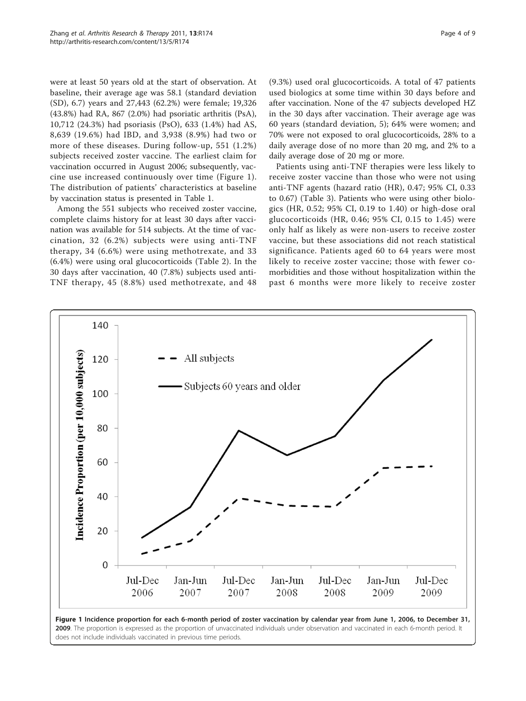were at least 50 years old at the start of observation. At baseline, their average age was 58.1 (standard deviation (SD), 6.7) years and 27,443 (62.2%) were female; 19,326 (43.8%) had RA, 867 (2.0%) had psoriatic arthritis (PsA), 10,712 (24.3%) had psoriasis (PsO), 633 (1.4%) had AS, 8,639 (19.6%) had IBD, and 3,938 (8.9%) had two or more of these diseases. During follow-up, 551 (1.2%) subjects received zoster vaccine. The earliest claim for vaccination occurred in August 2006; subsequently, vaccine use increased continuously over time (Figure 1). The distribution of patients' characteristics at baseline by vaccination status is presented in Table [1.](#page-4-0)

Among the 551 subjects who received zoster vaccine, complete claims history for at least 30 days after vaccination was available for 514 subjects. At the time of vaccination, 32 (6.2%) subjects were using anti-TNF therapy, 34 (6.6%) were using methotrexate, and 33 (6.4%) were using oral glucocorticoids (Table [2](#page-5-0)). In the 30 days after vaccination, 40 (7.8%) subjects used anti-TNF therapy, 45 (8.8%) used methotrexate, and 48 (9.3%) used oral glucocorticoids. A total of 47 patients used biologics at some time within 30 days before and after vaccination. None of the 47 subjects developed HZ in the 30 days after vaccination. Their average age was 60 years (standard deviation, 5); 64% were women; and 70% were not exposed to oral glucocorticoids, 28% to a daily average dose of no more than 20 mg, and 2% to a daily average dose of 20 mg or more.

Patients using anti-TNF therapies were less likely to receive zoster vaccine than those who were not using anti-TNF agents (hazard ratio (HR), 0.47; 95% CI, 0.33 to 0.67) (Table [3\)](#page-6-0). Patients who were using other biologics (HR, 0.52; 95% CI, 0.19 to 1.40) or high-dose oral glucocorticoids (HR, 0.46; 95% CI, 0.15 to 1.45) were only half as likely as were non-users to receive zoster vaccine, but these associations did not reach statistical significance. Patients aged 60 to 64 years were most likely to receive zoster vaccine; those with fewer comorbidities and those without hospitalization within the past 6 months were more likely to receive zoster

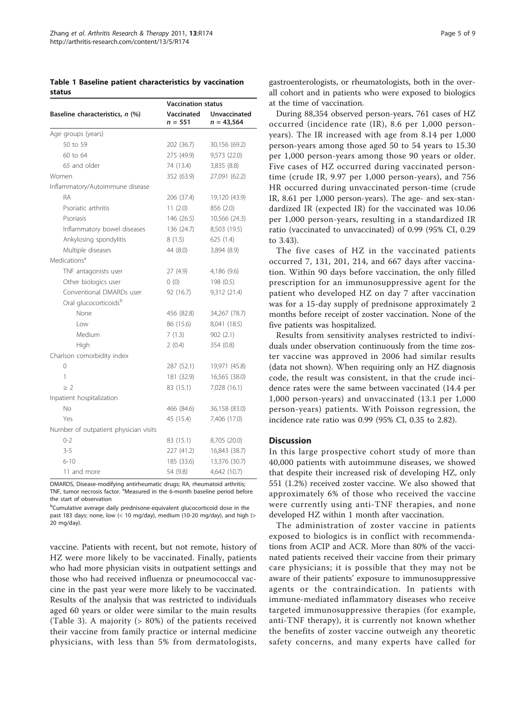<span id="page-4-0"></span>Table 1 Baseline patient characteristics by vaccination status

|                                       | <b>Vaccination status</b> |                              |  |  |
|---------------------------------------|---------------------------|------------------------------|--|--|
| Baseline characteristics, n (%)       | Vaccinated<br>$n = 551$   | Unvaccinated<br>$n = 43,564$ |  |  |
| Age groups (years)                    |                           |                              |  |  |
| 50 to 59                              | 202 (36.7)                | 30,156 (69.2)                |  |  |
| 60 to 64                              | 275 (49.9)                | 9,573 (22.0)                 |  |  |
| 65 and older                          | 74 (13.4)                 | 3,835 (8.8)                  |  |  |
| Women                                 | 352 (63.9)                | 27,091 (62.2)                |  |  |
| Inflammatory/Autoimmune disease       |                           |                              |  |  |
| RA                                    | 206 (37.4)                | 19,120 (43.9)                |  |  |
| Psoriatic arthritis                   | 11(2.0)                   | 856 (2.0)                    |  |  |
| Psoriasis                             | 146 (26.5)                | 10,566 (24.3)                |  |  |
| Inflammatory bowel diseases           | 136 (24.7)                | 8,503 (19.5)                 |  |  |
| Ankylosing spondylitis                | 8(1.5)                    | 625 (1.4)                    |  |  |
| Multiple diseases                     | 44 (8.0)                  | 3,894 (8.9)                  |  |  |
| Medications <sup>a</sup>              |                           |                              |  |  |
| TNF antagonists user                  | 27(4.9)                   | 4,186 (9.6)                  |  |  |
| Other biologics user                  | 0(0)                      | 198 (0.5)                    |  |  |
| Conventional DMARDs user              | 92 (16.7)                 | 9,312 (21.4)                 |  |  |
| Oral glucocorticoids <sup>b</sup>     |                           |                              |  |  |
| None                                  | 456 (82.8)                | 34,267 (78.7)                |  |  |
| Low                                   | 86 (15.6)                 | 8,041 (18.5)                 |  |  |
| Medium                                | 7(1.3)                    | 902(2.1)                     |  |  |
| High                                  | 2(0.4)                    | 354 (0.8)                    |  |  |
| Charlson comorbidity index            |                           |                              |  |  |
| $\mathbf 0$                           | 287 (52.1)                | 19,971 (45.8)                |  |  |
| 1                                     | 181 (32.9)                | 16,565 (38.0)                |  |  |
| $\geq$ 2                              | 83 (15.1)                 | 7,028 (16.1)                 |  |  |
| Inpatient hospitalization             |                           |                              |  |  |
| No                                    | 466 (84.6)                | 36,158 (83.0)                |  |  |
| Yes                                   | 45 (15.4)                 | 7,406 (17.0)                 |  |  |
| Number of outpatient physician visits |                           |                              |  |  |
| $0 - 2$                               | 83 (15.1)                 | 8,705 (20.0)                 |  |  |
| $3 - 5$                               | 227(41.2)                 | 16,843 (38.7)                |  |  |
| $6 - 10$                              | 185 (33.6)                | 13,376 (30.7)                |  |  |
| 11 and more                           | 54 (9.8)                  | 4,642 (10.7)                 |  |  |

DMARDS, Disease-modifying antirheumatic drugs; RA, rheumatoid arthritis; TNF, tumor necrosis factor. <sup>a</sup>Measured in the 6-month baseline period before the start of observation

<sup>b</sup>Cumulative average daily prednisone-equivalent glucocorticoid dose in the past 183 days: none, low (< 10 mg/day), medium (10-20 mg/day), and high (> 20 mg/day).

vaccine. Patients with recent, but not remote, history of HZ were more likely to be vaccinated. Finally, patients who had more physician visits in outpatient settings and those who had received influenza or pneumococcal vaccine in the past year were more likely to be vaccinated. Results of the analysis that was restricted to individuals aged 60 years or older were similar to the main results (Table [3\)](#page-6-0). A majority (> 80%) of the patients received their vaccine from family practice or internal medicine physicians, with less than 5% from dermatologists,

gastroenterologists, or rheumatologists, both in the overall cohort and in patients who were exposed to biologics at the time of vaccination.

During 88,354 observed person-years, 761 cases of HZ occurred (incidence rate (IR), 8.6 per 1,000 personyears). The IR increased with age from 8.14 per 1,000 person-years among those aged 50 to 54 years to 15.30 per 1,000 person-years among those 90 years or older. Five cases of HZ occurred during vaccinated persontime (crude IR, 9.97 per 1,000 person-years), and 756 HR occurred during unvaccinated person-time (crude IR, 8.61 per 1,000 person-years). The age- and sex-standardized IR (expected IR) for the vaccinated was 10.06 per 1,000 person-years, resulting in a standardized IR ratio (vaccinated to unvaccinated) of 0.99 (95% CI, 0.29 to 3.43).

The five cases of HZ in the vaccinated patients occurred 7, 131, 201, 214, and 667 days after vaccination. Within 90 days before vaccination, the only filled prescription for an immunosuppressive agent for the patient who developed HZ on day 7 after vaccination was for a 15-day supply of prednisone approximately 2 months before receipt of zoster vaccination. None of the five patients was hospitalized.

Results from sensitivity analyses restricted to individuals under observation continuously from the time zoster vaccine was approved in 2006 had similar results (data not shown). When requiring only an HZ diagnosis code, the result was consistent, in that the crude incidence rates were the same between vaccinated (14.4 per 1,000 person-years) and unvaccinated (13.1 per 1,000 person-years) patients. With Poisson regression, the incidence rate ratio was 0.99 (95% CI, 0.35 to 2.82).

## **Discussion**

In this large prospective cohort study of more than 40,000 patients with autoimmune diseases, we showed that despite their increased risk of developing HZ, only 551 (1.2%) received zoster vaccine. We also showed that approximately 6% of those who received the vaccine were currently using anti-TNF therapies, and none developed HZ within 1 month after vaccination.

The administration of zoster vaccine in patients exposed to biologics is in conflict with recommendations from ACIP and ACR. More than 80% of the vaccinated patients received their vaccine from their primary care physicians; it is possible that they may not be aware of their patients' exposure to immunosuppressive agents or the contraindication. In patients with immune-mediated inflammatory diseases who receive targeted immunosuppressive therapies (for example, anti-TNF therapy), it is currently not known whether the benefits of zoster vaccine outweigh any theoretic safety concerns, and many experts have called for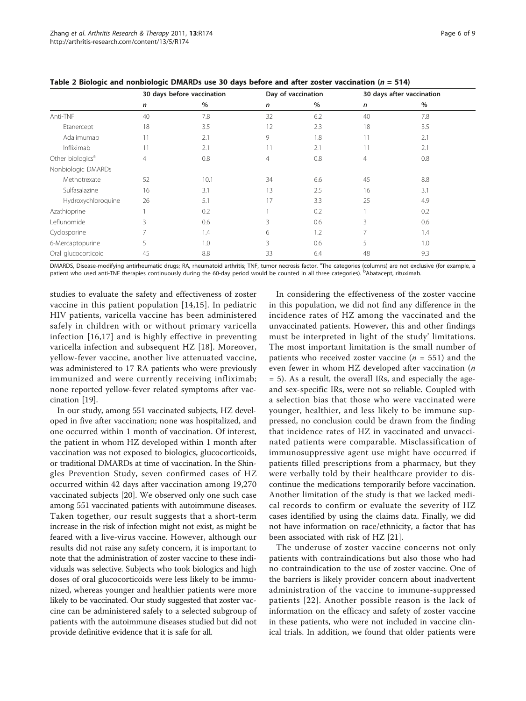|                              |                | 30 days before vaccination<br>Day of vaccination |    |     | 30 days after vaccination |      |  |
|------------------------------|----------------|--------------------------------------------------|----|-----|---------------------------|------|--|
|                              | $\mathsf{n}$   | $\%$                                             | n  | %   | $\mathsf{n}$              | $\%$ |  |
| Anti-TNF                     | 40             | 7.8                                              | 32 | 6.2 | 40                        | 7.8  |  |
| Etanercept                   | 18             | 3.5                                              | 12 | 2.3 | 18                        | 3.5  |  |
| Adalimumab                   | 11             | 2.1                                              | 9  | 1.8 | 11                        | 2.1  |  |
| Infliximab                   |                | 2.1                                              | 11 | 2.1 | 11                        | 2.1  |  |
| Other biologics <sup>a</sup> | $\overline{4}$ | 0.8                                              | 4  | 0.8 | $\overline{4}$            | 0.8  |  |
| Nonbiologic DMARDs           |                |                                                  |    |     |                           |      |  |
| Methotrexate                 | 52             | 10.1                                             | 34 | 6.6 | 45                        | 8.8  |  |
| Sulfasalazine                | 16             | 3.1                                              | 13 | 2.5 | 16                        | 3.1  |  |
| Hydroxychloroquine           | 26             | 5.1                                              | 17 | 3.3 | 25                        | 4.9  |  |
| Azathioprine                 |                | 0.2                                              |    | 0.2 |                           | 0.2  |  |
| Leflunomide                  | 3              | 0.6                                              | 3  | 0.6 | 3                         | 0.6  |  |
| Cyclosporine                 |                | 1.4                                              | 6  | 1.2 |                           | 1.4  |  |
| 6-Mercaptopurine             | 5              | 1.0                                              | 3  | 0.6 | 5                         | 1.0  |  |
| Oral glucocorticoid          | 45             | 8.8                                              | 33 | 6.4 | 48                        | 9.3  |  |
|                              |                |                                                  |    |     |                           |      |  |

<span id="page-5-0"></span>Table 2 Biologic and nonbiologic DMARDs use 30 days before and after zoster vaccination ( $n = 514$ )

DMARDS, Disease-modifying antirheumatic drugs; RA, rheumatoid arthritis; TNF, tumor necrosis factor. <sup>a</sup>The categories (columns) are not exclusive (for example, a patient who used anti-TNF therapies continuously during the 60-day period would be counted in all three categories). <sup>b</sup>Abatacept, rituximab.

studies to evaluate the safety and effectiveness of zoster vaccine in this patient population [[14](#page-7-0)[,15\]](#page-8-0). In pediatric HIV patients, varicella vaccine has been administered safely in children with or without primary varicella infection [[16,17](#page-8-0)] and is highly effective in preventing varicella infection and subsequent HZ [[18\]](#page-8-0). Moreover, yellow-fever vaccine, another live attenuated vaccine, was administered to 17 RA patients who were previously immunized and were currently receiving infliximab; none reported yellow-fever related symptoms after vaccination [[19\]](#page-8-0).

In our study, among 551 vaccinated subjects, HZ developed in five after vaccination; none was hospitalized, and one occurred within 1 month of vaccination. Of interest, the patient in whom HZ developed within 1 month after vaccination was not exposed to biologics, glucocorticoids, or traditional DMARDs at time of vaccination. In the Shingles Prevention Study, seven confirmed cases of HZ occurred within 42 days after vaccination among 19,270 vaccinated subjects [\[20](#page-8-0)]. We observed only one such case among 551 vaccinated patients with autoimmune diseases. Taken together, our result suggests that a short-term increase in the risk of infection might not exist, as might be feared with a live-virus vaccine. However, although our results did not raise any safety concern, it is important to note that the administration of zoster vaccine to these individuals was selective. Subjects who took biologics and high doses of oral glucocorticoids were less likely to be immunized, whereas younger and healthier patients were more likely to be vaccinated. Our study suggested that zoster vaccine can be administered safely to a selected subgroup of patients with the autoimmune diseases studied but did not provide definitive evidence that it is safe for all.

In considering the effectiveness of the zoster vaccine in this population, we did not find any difference in the incidence rates of HZ among the vaccinated and the unvaccinated patients. However, this and other findings must be interpreted in light of the study' limitations. The most important limitation is the small number of patients who received zoster vaccine ( $n = 551$ ) and the even fewer in whom HZ developed after vaccination (n = 5). As a result, the overall IRs, and especially the ageand sex-specific IRs, were not so reliable. Coupled with a selection bias that those who were vaccinated were younger, healthier, and less likely to be immune suppressed, no conclusion could be drawn from the finding that incidence rates of HZ in vaccinated and unvaccinated patients were comparable. Misclassification of immunosuppressive agent use might have occurred if patients filled prescriptions from a pharmacy, but they were verbally told by their healthcare provider to discontinue the medications temporarily before vaccination. Another limitation of the study is that we lacked medical records to confirm or evaluate the severity of HZ cases identified by using the claims data. Finally, we did not have information on race/ethnicity, a factor that has been associated with risk of HZ [[21\]](#page-8-0).

The underuse of zoster vaccine concerns not only patients with contraindications but also those who had no contraindication to the use of zoster vaccine. One of the barriers is likely provider concern about inadvertent administration of the vaccine to immune-suppressed patients [[22\]](#page-8-0). Another possible reason is the lack of information on the efficacy and safety of zoster vaccine in these patients, who were not included in vaccine clinical trials. In addition, we found that older patients were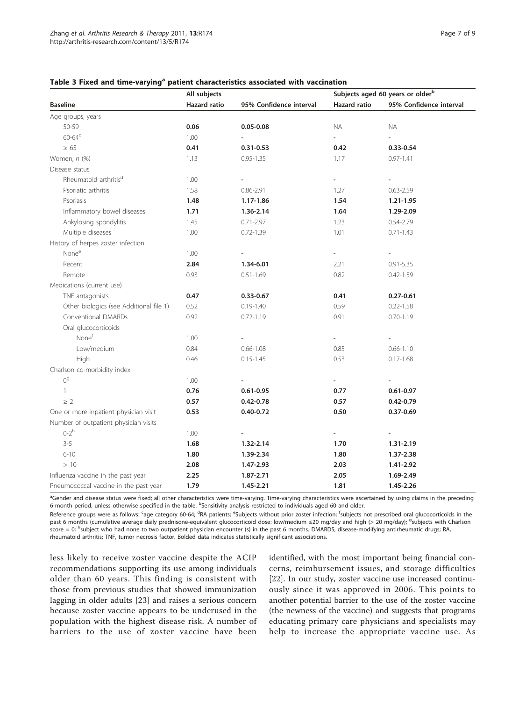|                                         | All subjects |                          | Subjects aged 60 years or older <sup>b</sup> |                         |  |
|-----------------------------------------|--------------|--------------------------|----------------------------------------------|-------------------------|--|
| <b>Baseline</b>                         | Hazard ratio | 95% Confidence interval  | <b>Hazard</b> ratio                          | 95% Confidence interval |  |
| Age groups, years                       |              |                          |                                              |                         |  |
| 50-59                                   | 0.06         | $0.05 - 0.08$            | <b>NA</b>                                    | <b>NA</b>               |  |
| $60 - 64$ <sup>c</sup>                  | 1.00         |                          | $\Box$                                       |                         |  |
| $\geq 65$                               | 0.41         | $0.31 - 0.53$            | 0.42                                         | 0.33-0.54               |  |
| Women, n (%)                            | 1.13         | $0.95 - 1.35$            | 1.17                                         | $0.97 - 1.41$           |  |
| Disease status                          |              |                          |                                              |                         |  |
| Rheumatoid arthritis <sup>d</sup>       | 1.00         |                          | ÷,                                           |                         |  |
| Psoriatic arthritis                     | 1.58         | $0.86 - 2.91$            | 1.27                                         | $0.63 - 2.59$           |  |
| Psoriasis                               | 1.48         | 1.17-1.86                | 1.54                                         | 1.21-1.95               |  |
| Inflammatory bowel diseases             | 1.71         | 1.36-2.14                | 1.64                                         | 1.29-2.09               |  |
| Ankylosing spondylitis                  | 1.45         | $0.71 - 2.97$            | 1.23                                         | $0.54 - 2.79$           |  |
| Multiple diseases                       | 1.00         | $0.72 - 1.39$            | 1.01                                         | $0.71 - 1.43$           |  |
| History of herpes zoster infection      |              |                          |                                              |                         |  |
| None <sup>e</sup>                       | 1.00         |                          |                                              |                         |  |
| Recent                                  | 2.84         | 1.34-6.01                | 2.21                                         | $0.91 - 5.35$           |  |
| Remote                                  | 0.93         | $0.51 - 1.69$            | 0.82                                         | $0.42 - 1.59$           |  |
| Medications (current use)               |              |                          |                                              |                         |  |
| TNF antagonists                         | 0.47         | $0.33 - 0.67$            | 0.41                                         | $0.27 - 0.61$           |  |
| Other biologics (see Additional file 1) | 0.52         | $0.19 - 1.40$            | 0.59                                         | $0.22 - 1.58$           |  |
| Conventional DMARDs                     | 0.92         | $0.72 - 1.19$            | 0.91                                         | $0.70 - 1.19$           |  |
| Oral glucocorticoids                    |              |                          |                                              |                         |  |
| None <sup>f</sup>                       | 1.00         |                          | ÷,                                           |                         |  |
| Low/medium                              | 0.84         | $0.66 - 1.08$            | 0.85                                         | $0.66 - 1.10$           |  |
| High                                    | 0.46         | $0.15 - 1.45$            | 0.53                                         | $0.17 - 1.68$           |  |
| Charlson co-morbidity index             |              |                          |                                              |                         |  |
| $0^\mathrm{g}$                          | 1.00         |                          |                                              |                         |  |
| 1                                       | 0.76         | $0.61 - 0.95$            | 0.77                                         | $0.61 - 0.97$           |  |
| $\geq 2$                                | 0.57         | $0.42 - 0.78$            | 0.57                                         | 0.42-0.79               |  |
| One or more inpatient physician visit   | 0.53         | $0.40 - 0.72$            | 0.50                                         | 0.37-0.69               |  |
| Number of outpatient physician visits   |              |                          |                                              |                         |  |
| $0 - 2h$                                | 1.00         | $\overline{\phantom{0}}$ | $\overline{\phantom{a}}$                     |                         |  |
| $3 - 5$                                 | 1.68         | 1.32-2.14                | 1.70                                         | 1.31-2.19               |  |
| $6 - 10$                                | 1.80         | 1.39-2.34                | 1.80                                         | 1.37-2.38               |  |
| >10                                     | 2.08         | 1.47-2.93                | 2.03                                         | 1.41-2.92               |  |
| Influenza vaccine in the past year      | 2.25         | 1.87-2.71                | 2.05                                         | 1.69-2.49               |  |
| Pneumococcal vaccine in the past year   | 1.79         | 1.45-2.21                | 1.81                                         | 1.45-2.26               |  |

# <span id="page-6-0"></span>Table 3 Fixed and time-varying<sup>a</sup> patient characteristics associated with vaccination

<sup>a</sup>Gender and disease status were fixed; all other characteristics were time-varying. Time-varying characteristics were ascertained by using claims in the preceding 6-month period, unless otherwise specified in the table. <sup>b</sup>Sensitivity analysis restricted to individuals aged 60 and older.

Reference groups were as follows: <sup>c</sup>age category 60-64; <sup>d</sup>RA patients; <sup>e</sup>Subjects without prior zoster infection; <sup>f</sup>subjects not prescribed oral glucocorticoids in the past 6 months (cumulative average daily prednisone-equivalent glucocorticoid dose: low/medium ≤20 mg/day and high (> 20 mg/day); <sup>g</sup>subjects with Charlson .<br>score = 0; <sup>h</sup>subject who had none to two outpatient physician encounter (s) in the past 6 months. DMARDS, disease-modifying antirheumatic drugs; RA, rheumatoid arthritis; TNF, tumor necrosis factor. Bolded data indicates statistically significant associations.

less likely to receive zoster vaccine despite the ACIP recommendations supporting its use among individuals older than 60 years. This finding is consistent with those from previous studies that showed immunization lagging in older adults [\[23](#page-8-0)] and raises a serious concern because zoster vaccine appears to be underused in the population with the highest disease risk. A number of barriers to the use of zoster vaccine have been

identified, with the most important being financial concerns, reimbursement issues, and storage difficulties [[22\]](#page-8-0). In our study, zoster vaccine use increased continuously since it was approved in 2006. This points to another potential barrier to the use of the zoster vaccine (the newness of the vaccine) and suggests that programs educating primary care physicians and specialists may help to increase the appropriate vaccine use. As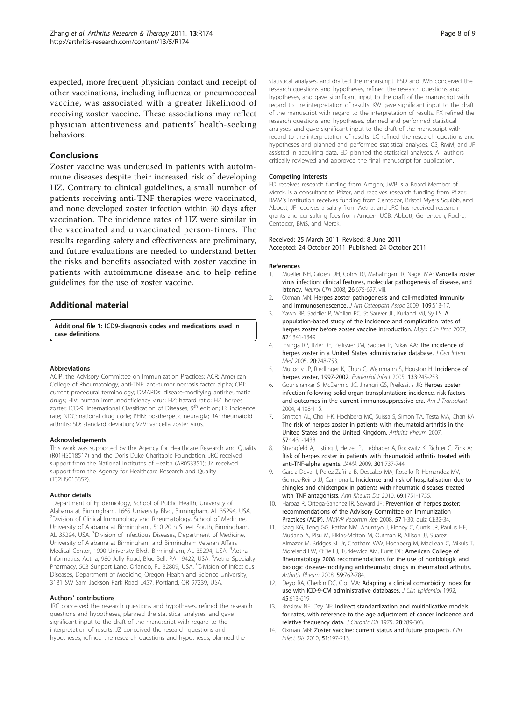<span id="page-7-0"></span>expected, more frequent physician contact and receipt of other vaccinations, including influenza or pneumococcal vaccine, was associated with a greater likelihood of receiving zoster vaccine. These associations may reflect physician attentiveness and patients' health-seeking behaviors.

# **Conclusions**

Zoster vaccine was underused in patients with autoimmune diseases despite their increased risk of developing HZ. Contrary to clinical guidelines, a small number of patients receiving anti-TNF therapies were vaccinated, and none developed zoster infection within 30 days after vaccination. The incidence rates of HZ were similar in the vaccinated and unvaccinated person-times. The results regarding safety and effectiveness are preliminary, and future evaluations are needed to understand better the risks and benefits associated with zoster vaccine in patients with autoimmune disease and to help refine guidelines for the use of zoster vaccine.

# Additional material

[Additional file 1: I](http://www.biomedcentral.com/content/supplementary/ar3497-S1.DOC)CD9-diagnosis codes and medications used in case definitions.

#### Abbreviations

ACIP: the Advisory Committee on Immunization Practices; ACR: American College of Rheumatology; anti-TNF: anti-tumor necrosis factor alpha; CPT: current procedural terminology; DMARDs: disease-modifying antirheumatic drugs; HIV: human immunodeficiency virus; HZ: hazard ratio; HZ: herpes zoster; ICD-9: International Classification of Diseases, 9<sup>th</sup> edition; IR: incidence rate; NDC: national drug code; PHN: postherpetic neuralgia; RA: rheumatoid arthritis; SD: standard deviation; VZV: varicella zoster virus.

#### Acknowledgements

This work was supported by the Agency for Healthcare Research and Quality (R01HS018517) and the Doris Duke Charitable Foundation. JRC received support from the National Institutes of Health (AR053351); JZ received support from the Agency for Healthcare Research and Quality (T32HS013852).

#### Author details

<sup>1</sup>Department of Epidemiology, School of Public Health, University of Alabama at Birmingham, 1665 University Blvd, Birmingham, AL 35294, USA. <sup>2</sup> Division of Clinical Immunology and Rheumatology, School of Medicine, University of Alabama at Birmingham, 510 20th Street South, Birmingham, AL 35294, USA. <sup>3</sup>Division of Infectious Diseases, Department of Medicine, University of Alabama at Birmingham and Birmingham Veteran Affairs Medical Center, 1900 University Blvd., Birmingham, AL 35294, USA. <sup>4</sup>Aetna Informatics, Aetna, 980 Jolly Road, Blue Bell, PA 19422, USA. <sup>5</sup>Aetna Specialty Pharmacy, 503 Sunport Lane, Orlando, FL 32809, USA. <sup>6</sup>Division of Infectious Diseases, Department of Medicine, Oregon Health and Science University, 3181 SW Sam Jackson Park Road L457, Portland, OR 97239, USA.

#### Authors' contributions

JRC conceived the research questions and hypotheses, refined the research questions and hypotheses, planned the statistical analyses, and gave significant input to the draft of the manuscript with regard to the interpretation of results. JZ conceived the research questions and hypotheses, refined the research questions and hypotheses, planned the

statistical analyses, and drafted the manuscript. ESD and JWB conceived the research questions and hypotheses, refined the research questions and hypotheses, and gave significant input to the draft of the manuscript with regard to the interpretation of results. KW gave significant input to the draft of the manuscript with regard to the interpretation of results. FX refined the research questions and hypotheses, planned and performed statistical analyses, and gave significant input to the draft of the manuscript with regard to the interpretation of results. LC refined the research questions and hypotheses and planned and performed statistical analyses. CS, RMM, and JF assisted in acquiring data. ED planned the statistical analyses. All authors critically reviewed and approved the final manuscript for publication.

#### Competing interests

ED receives research funding from Amgen; JWB is a Board Member of Merck, is a consultant to Pfizer, and receives research funding from Pfizer; RMM's institution receives funding from Centocor, Bristol Myers Squibb, and Abbott; JF receives a salary from Aetna; and JRC has received research grants and consulting fees from Amgen, UCB, Abbott, Genentech, Roche, Centocor, BMS, and Merck.

#### Received: 25 March 2011 Revised: 8 June 2011 Accepted: 24 October 2011 Published: 24 October 2011

#### References

- 1. Mueller NH, Gilden DH, Cohrs RJ, Mahalingam R, Nagel MA: [Varicella zoster](http://www.ncbi.nlm.nih.gov/pubmed/18657721?dopt=Abstract) [virus infection: clinical features, molecular pathogenesis of disease, and](http://www.ncbi.nlm.nih.gov/pubmed/18657721?dopt=Abstract) [latency.](http://www.ncbi.nlm.nih.gov/pubmed/18657721?dopt=Abstract) Neurol Clin 2008, 26:675-697, viii.
- 2. Oxman MN: [Herpes zoster pathogenesis and cell-mediated immunity](http://www.ncbi.nlm.nih.gov/pubmed/19553630?dopt=Abstract) [and immunosenescence.](http://www.ncbi.nlm.nih.gov/pubmed/19553630?dopt=Abstract) J Am Osteopath Assoc 2009, 109:S13-17.
- 3. Yawn BP, Saddier P, Wollan PC, St Sauver JL, Kurland MJ, Sy LS: [A](http://www.ncbi.nlm.nih.gov/pubmed/17976353?dopt=Abstract) [population-based study of the incidence and complication rates of](http://www.ncbi.nlm.nih.gov/pubmed/17976353?dopt=Abstract) [herpes zoster before zoster vaccine introduction.](http://www.ncbi.nlm.nih.gov/pubmed/17976353?dopt=Abstract) Mayo Clin Proc 2007, 82:1341-1349.
- 4. Insinga RP, Itzler RF, Pellissier JM, Saddier P, Nikas AA: [The incidence of](http://www.ncbi.nlm.nih.gov/pubmed/16050886?dopt=Abstract) [herpes zoster in a United States administrative database.](http://www.ncbi.nlm.nih.gov/pubmed/16050886?dopt=Abstract) J Gen Intern Med 2005, 20:748-753.
- Mullooly JP, Riedlinger K, Chun C, Weinmann S, Houston H: [Incidence of](http://www.ncbi.nlm.nih.gov/pubmed/15816149?dopt=Abstract) [herpes zoster, 1997-2002.](http://www.ncbi.nlm.nih.gov/pubmed/15816149?dopt=Abstract) Epidemiol Infect 2005, 133:245-253.
- 6. Gourishankar S, McDermid JC, Jhangri GS, Preiksaitis JK: [Herpes zoster](http://www.ncbi.nlm.nih.gov/pubmed/14678041?dopt=Abstract) [infection following solid organ transplantation: incidence, risk factors](http://www.ncbi.nlm.nih.gov/pubmed/14678041?dopt=Abstract) [and outcomes in the current immunosuppressive era.](http://www.ncbi.nlm.nih.gov/pubmed/14678041?dopt=Abstract) Am J Transplant 2004, 4:108-115.
- 7. Smitten AL, Choi HK, Hochberg MC, Suissa S, Simon TA, Testa MA, Chan KA: [The risk of herpes zoster in patients with rheumatoid arthritis in the](http://www.ncbi.nlm.nih.gov/pubmed/18050184?dopt=Abstract) [United States and the United Kingdom.](http://www.ncbi.nlm.nih.gov/pubmed/18050184?dopt=Abstract) Arthritis Rheum 2007, 57:1431-1438.
- Strangfeld A, Listing J, Herzer P, Liebhaber A, Rockwitz K, Richter C, Zink A: [Risk of herpes zoster in patients with rheumatoid arthritis treated with](http://www.ncbi.nlm.nih.gov/pubmed/19224750?dopt=Abstract) [anti-TNF-alpha agents.](http://www.ncbi.nlm.nih.gov/pubmed/19224750?dopt=Abstract) JAMA 2009, 301:737-744.
- Garcia-Doval I, Perez-Zafrilla B, Descalzo MA, Rosello R, Hernandez MV, Gomez-Reino JJ, Carmona L: [Incidence and risk of hospitalisation due to](http://www.ncbi.nlm.nih.gov/pubmed/20551153?dopt=Abstract) [shingles and chickenpox in patients with rheumatic diseases treated](http://www.ncbi.nlm.nih.gov/pubmed/20551153?dopt=Abstract) [with TNF antagonists.](http://www.ncbi.nlm.nih.gov/pubmed/20551153?dopt=Abstract) Ann Rheum Dis 2010, 69:1751-1755.
- 10. Harpaz R, Ortega-Sanchez IR, Seward JF: [Prevention of herpes zoster:](http://www.ncbi.nlm.nih.gov/pubmed/19052530?dopt=Abstract) [recommendations of the Advisory Committee on Immunization](http://www.ncbi.nlm.nih.gov/pubmed/19052530?dopt=Abstract) [Practices \(ACIP\).](http://www.ncbi.nlm.nih.gov/pubmed/19052530?dopt=Abstract) MMWR Recomm Rep 2008, 57:1-30; quiz CE32-34.
- 11. Saag KG, Teng GG, Patkar NM, Anuntiyo J, Finney C, Curtis JR, Paulus HE, Mudano A, Pisu M, Elkins-Melton M, Outman R, Allison JJ, Suarez Almazor M, Bridges SL Jr, Chatham WW, Hochberg M, MacLean C, Mikuls T, Moreland LW, O'Dell J, Turkiewicz AM, Furst DE: [American College of](http://www.ncbi.nlm.nih.gov/pubmed/18512708?dopt=Abstract) [Rheumatology 2008 recommendations for the use of nonbiologic and](http://www.ncbi.nlm.nih.gov/pubmed/18512708?dopt=Abstract) [biologic disease-modifying antirheumatic drugs in rheumatoid arthritis.](http://www.ncbi.nlm.nih.gov/pubmed/18512708?dopt=Abstract) Arthritis Rheum 2008, 59:762-784.
- 12. Deyo RA, Cherkin DC, Ciol MA: [Adapting a clinical comorbidity index for](http://www.ncbi.nlm.nih.gov/pubmed/1607900?dopt=Abstract) [use with ICD-9-CM administrative databases.](http://www.ncbi.nlm.nih.gov/pubmed/1607900?dopt=Abstract) J Clin Epidemiol 1992, 45:613-619.
- 13. Breslow NE, Day NE: [Indirect standardization and multiplicative models](http://www.ncbi.nlm.nih.gov/pubmed/1141424?dopt=Abstract) [for rates, with reference to the age adjustment of cancer incidence and](http://www.ncbi.nlm.nih.gov/pubmed/1141424?dopt=Abstract) [relative frequency data.](http://www.ncbi.nlm.nih.gov/pubmed/1141424?dopt=Abstract) J Chronic Dis 1975, 28:289-303.
- 14. Oxman MN: [Zoster vaccine: current status and future prospects.](http://www.ncbi.nlm.nih.gov/pubmed/20550454?dopt=Abstract) Clin Infect Dis 2010, 51:197-213.